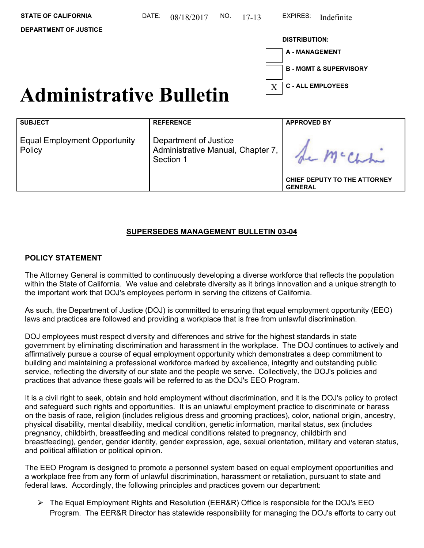| <b>STATE OF CALIFORNIA</b>          | DATE: | 08/18/2017                                     | NO. | $17 - 13$ | <b>EXPIRES:</b>                 | Indefinite |  |  |
|-------------------------------------|-------|------------------------------------------------|-----|-----------|---------------------------------|------------|--|--|
| <b>DEPARTMENT OF JUSTICE</b>        |       |                                                |     |           | <b>DISTRIBUTION:</b>            |            |  |  |
|                                     |       |                                                |     |           | <b>A-MANAGEMENT</b>             |            |  |  |
|                                     |       |                                                |     |           |                                 |            |  |  |
|                                     |       |                                                |     |           | <b>B-MGMT &amp; SUPERVISORY</b> |            |  |  |
| <b>C - ALL EMPLOYEES</b><br>X       |       |                                                |     |           |                                 |            |  |  |
| <b>Administrative Bulletin</b>      |       |                                                |     |           |                                 |            |  |  |
|                                     |       |                                                |     |           |                                 |            |  |  |
| <b>SUBJECT</b>                      |       | <b>REFERENCE</b>                               |     |           | <b>APPROVED BY</b>              |            |  |  |
|                                     |       |                                                |     |           |                                 |            |  |  |
| <b>Equal Employment Opportunity</b> |       | Department of Justice                          |     |           |                                 |            |  |  |
| Policy                              |       | Administrative Manual, Chapter 7,<br>144.4.4.1 |     |           |                                 |            |  |  |

Section 1

## **SUPERSEDES MANAGEMENT BULLETIN 03-04**

**CHIEF DEPUTY TO THE ATTORNEY** 

de McChod

**GENERAL** 

## **POLICY STATEMENT**

the important work that DOJ's employees perform in serving the citizens of California. The Attorney General is committed to continuously developing a diverse workforce that reflects the population within the State of California. We value and celebrate diversity as it brings innovation and a unique strength to

As such, the Department of Justice (DOJ) is committed to ensuring that equal employment opportunity (EEO) laws and practices are followed and providing a workplace that is free from unlawful discrimination.

DOJ employees must respect diversity and differences and strive for the highest standards in state government by eliminating discrimination and harassment in the workplace. The DOJ continues to actively and affirmatively pursue a course of equal employment opportunity which demonstrates a deep commitment to building and maintaining a professional workforce marked by excellence, integrity and outstanding public service, reflecting the diversity of our state and the people we serve. Collectively, the DOJ's policies and practices that advance these goals will be referred to as the DOJ's EEO Program.

It is a civil right to seek, obtain and hold employment without discrimination, and it is the DOJ's policy to protect and safeguard such rights and opportunities. It is an unlawful employment practice to discriminate or harass on the basis of race, religion (includes religious dress and grooming practices), color, national origin, ancestry, physical disability, mental disability, medical condition, genetic information, marital status, sex (includes pregnancy, childbirth, breastfeeding and medical conditions related to pregnancy, childbirth and breastfeeding), gender, gender identity, gender expression, age, sexual orientation, military and veteran status, and political affiliation or political opinion.

The EEO Program is designed to promote a personnel system based on equal employment opportunities and a workplace free from any form of unlawful discrimination, harassment or retaliation, pursuant to state and federal laws. Accordingly, the following principles and practices govern our department:

 $\triangleright$  The Equal Employment Rights and Resolution (EER&R) Office is responsible for the DOJ's EEO Program. The EER&R Director has statewide responsibility for managing the DOJ's efforts to carry out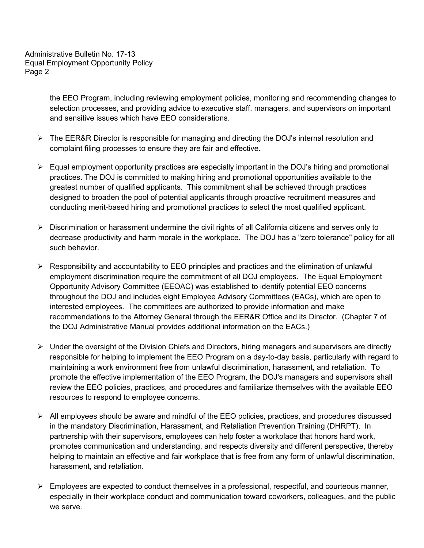Administrative Bulletin No. 17-13 Equal Employment Opportunity Policy Page 2

> the EEO Program, including reviewing employment policies, monitoring and recommending changes to selection processes, and providing advice to executive staff, managers, and supervisors on important and sensitive issues which have EEO considerations.

- $\triangleright$  The EER&R Director is responsible for managing and directing the DOJ's internal resolution and complaint filing processes to ensure they are fair and effective.
- $\triangleright$  Equal employment opportunity practices are especially important in the DOJ's hiring and promotional practices. The DOJ is committed to making hiring and promotional opportunities available to the greatest number of qualified applicants. This commitment shall be achieved through practices designed to broaden the pool of potential applicants through proactive recruitment measures and conducting merit-based hiring and promotional practices to select the most qualified applicant.
- $\triangleright$  Discrimination or harassment undermine the civil rights of all California citizens and serves only to decrease productivity and harm morale in the workplace. The DOJ has a "zero tolerance" policy for all such behavior.
- $\triangleright$  Responsibility and accountability to EEO principles and practices and the elimination of unlawful employment discrimination require the commitment of all DOJ employees. The Equal Employment Opportunity Advisory Committee (EEOAC) was established to identify potential EEO concerns throughout the DOJ and includes eight Employee Advisory Committees (EACs), which are open to interested employees. The committees are authorized to provide information and make recommendations to the Attorney General through the EER&R Office and its Director. (Chapter 7 of the DOJ Administrative Manual provides additional information on the EACs.)
- $\triangleright$  Under the oversight of the Division Chiefs and Directors, hiring managers and supervisors are directly responsible for helping to implement the EEO Program on a day-to-day basis, particularly with regard to maintaining a work environment free from unlawful discrimination, harassment, and retaliation. To promote the effective implementation of the EEO Program, the DOJ's managers and supervisors shall review the EEO policies, practices, and procedures and familiarize themselves with the available EEO resources to respond to employee concerns.
- $\triangleright$  All employees should be aware and mindful of the EEO policies, practices, and procedures discussed in the mandatory Discrimination, Harassment, and Retaliation Prevention Training (DHRPT). In partnership with their supervisors, employees can help foster a workplace that honors hard work, promotes communication and understanding, and respects diversity and different perspective, thereby helping to maintain an effective and fair workplace that is free from any form of unlawful discrimination, harassment, and retaliation.
- $\triangleright$  Employees are expected to conduct themselves in a professional, respectful, and courteous manner, especially in their workplace conduct and communication toward coworkers, colleagues, and the public we serve.